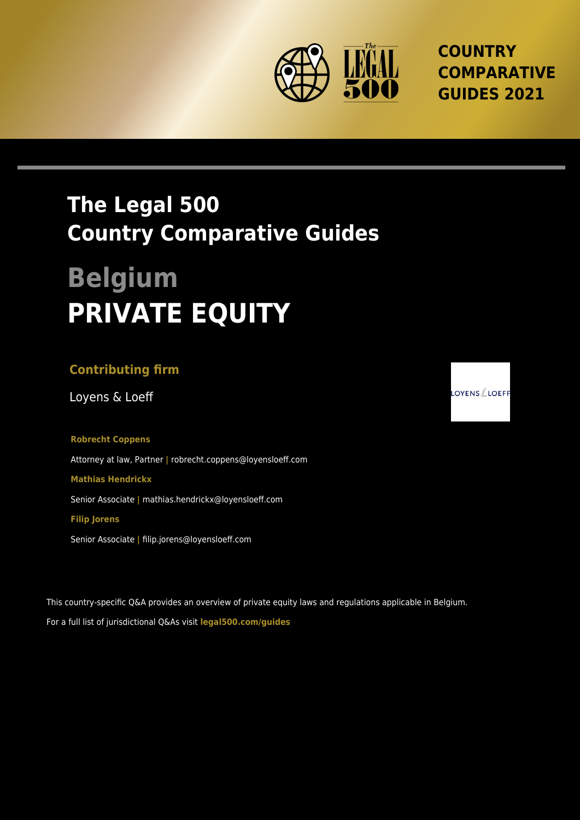

**COUNTRY COMPARATIVE GUIDES 2021**

# **The Legal 500 Country Comparative Guides**

# **Belgium PRIVATE EQUITY**

# **Contributing firm**

Loyens & Loeff

# **Robrecht Coppens**

Attorney at law, Partner **|** robrecht.coppens@loyensloeff.com

#### **Mathias Hendrickx**

Senior Associate **|** mathias.hendrickx@loyensloeff.com

#### **Filip Jorens**

Senior Associate **|** filip.jorens@loyensloeff.com

This country-specific Q&A provides an overview of private equity laws and regulations applicable in Belgium. For a full list of jurisdictional Q&As visit **[legal500.com/guides](https://www.legal500.com/guides/)**

 $\mathsf{OYENS}\!\!\not\!\mathsf{LOEFF}$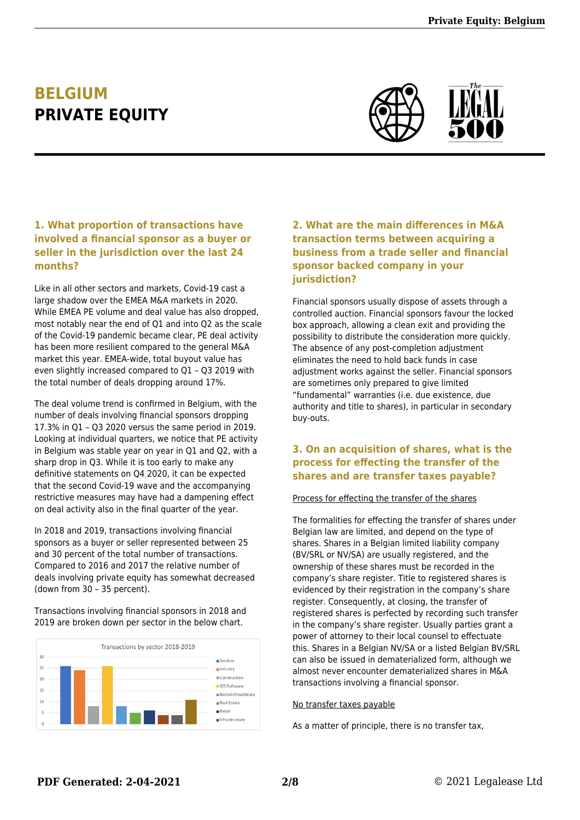# **BELGIUM PRIVATE EQUITY**



# **1. What proportion of transactions have involved a financial sponsor as a buyer or seller in the jurisdiction over the last 24 months?**

Like in all other sectors and markets, Covid-19 cast a large shadow over the EMEA M&A markets in 2020. While EMEA PE volume and deal value has also dropped, most notably near the end of Q1 and into Q2 as the scale of the Covid-19 pandemic became clear, PE deal activity has been more resilient compared to the general M&A market this year. EMEA-wide, total buyout value has even slightly increased compared to Q1 – Q3 2019 with the total number of deals dropping around 17%.

The deal volume trend is confirmed in Belgium, with the number of deals involving financial sponsors dropping 17.3% in Q1 – Q3 2020 versus the same period in 2019. Looking at individual quarters, we notice that PE activity in Belgium was stable year on year in Q1 and Q2, with a sharp drop in Q3. While it is too early to make any definitive statements on Q4 2020, it can be expected that the second Covid-19 wave and the accompanying restrictive measures may have had a dampening effect on deal activity also in the final quarter of the year.

In 2018 and 2019, transactions involving financial sponsors as a buyer or seller represented between 25 and 30 percent of the total number of transactions. Compared to 2016 and 2017 the relative number of deals involving private equity has somewhat decreased (down from 30 – 35 percent).

Transactions involving financial sponsors in 2018 and 2019 are broken down per sector in the below chart.



## **2. What are the main differences in M&A transaction terms between acquiring a business from a trade seller and financial sponsor backed company in your jurisdiction?**

Financial sponsors usually dispose of assets through a controlled auction. Financial sponsors favour the locked box approach, allowing a clean exit and providing the possibility to distribute the consideration more quickly. The absence of any post-completion adjustment eliminates the need to hold back funds in case adjustment works against the seller. Financial sponsors are sometimes only prepared to give limited "fundamental" warranties (i.e. due existence, due authority and title to shares), in particular in secondary buy-outs.

#### **3. On an acquisition of shares, what is the process for effecting the transfer of the shares and are transfer taxes payable?**

#### Process for effecting the transfer of the shares

The formalities for effecting the transfer of shares under Belgian law are limited, and depend on the type of shares. Shares in a Belgian limited liability company (BV/SRL or NV/SA) are usually registered, and the ownership of these shares must be recorded in the company's share register. Title to registered shares is evidenced by their registration in the company's share register. Consequently, at closing, the transfer of registered shares is perfected by recording such transfer in the company's share register. Usually parties grant a power of attorney to their local counsel to effectuate this. Shares in a Belgian NV/SA or a listed Belgian BV/SRL can also be issued in dematerialized form, although we almost never encounter dematerialized shares in M&A transactions involving a financial sponsor.

#### No transfer taxes payable

As a matter of principle, there is no transfer tax,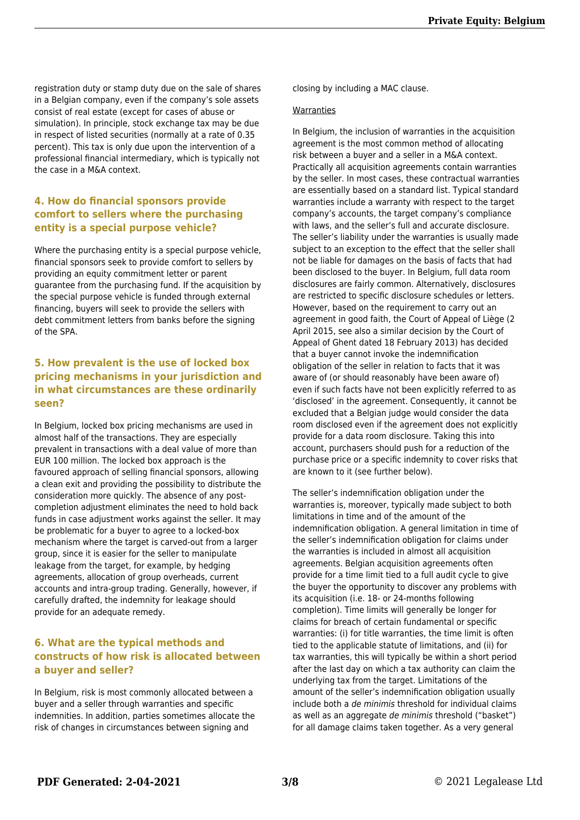registration duty or stamp duty due on the sale of shares in a Belgian company, even if the company's sole assets consist of real estate (except for cases of abuse or simulation). In principle, stock exchange tax may be due in respect of listed securities (normally at a rate of 0.35 percent). This tax is only due upon the intervention of a professional financial intermediary, which is typically not the case in a M&A context.

#### **4. How do financial sponsors provide comfort to sellers where the purchasing entity is a special purpose vehicle?**

Where the purchasing entity is a special purpose vehicle, financial sponsors seek to provide comfort to sellers by providing an equity commitment letter or parent guarantee from the purchasing fund. If the acquisition by the special purpose vehicle is funded through external financing, buyers will seek to provide the sellers with debt commitment letters from banks before the signing of the SPA.

#### **5. How prevalent is the use of locked box pricing mechanisms in your jurisdiction and in what circumstances are these ordinarily seen?**

In Belgium, locked box pricing mechanisms are used in almost half of the transactions. They are especially prevalent in transactions with a deal value of more than EUR 100 million. The locked box approach is the favoured approach of selling financial sponsors, allowing a clean exit and providing the possibility to distribute the consideration more quickly. The absence of any postcompletion adjustment eliminates the need to hold back funds in case adjustment works against the seller. It may be problematic for a buyer to agree to a locked-box mechanism where the target is carved-out from a larger group, since it is easier for the seller to manipulate leakage from the target, for example, by hedging agreements, allocation of group overheads, current accounts and intra-group trading. Generally, however, if carefully drafted, the indemnity for leakage should provide for an adequate remedy.

#### **6. What are the typical methods and constructs of how risk is allocated between a buyer and seller?**

In Belgium, risk is most commonly allocated between a buyer and a seller through warranties and specific indemnities. In addition, parties sometimes allocate the risk of changes in circumstances between signing and

closing by including a MAC clause.

#### Warranties

In Belgium, the inclusion of warranties in the acquisition agreement is the most common method of allocating risk between a buyer and a seller in a M&A context. Practically all acquisition agreements contain warranties by the seller. In most cases, these contractual warranties are essentially based on a standard list. Typical standard warranties include a warranty with respect to the target company's accounts, the target company's compliance with laws, and the seller's full and accurate disclosure. The seller's liability under the warranties is usually made subject to an exception to the effect that the seller shall not be liable for damages on the basis of facts that had been disclosed to the buyer. In Belgium, full data room disclosures are fairly common. Alternatively, disclosures are restricted to specific disclosure schedules or letters. However, based on the requirement to carry out an agreement in good faith, the Court of Appeal of Liège (2 April 2015, see also a similar decision by the Court of Appeal of Ghent dated 18 February 2013) has decided that a buyer cannot invoke the indemnification obligation of the seller in relation to facts that it was aware of (or should reasonably have been aware of) even if such facts have not been explicitly referred to as 'disclosed' in the agreement. Consequently, it cannot be excluded that a Belgian judge would consider the data room disclosed even if the agreement does not explicitly provide for a data room disclosure. Taking this into account, purchasers should push for a reduction of the purchase price or a specific indemnity to cover risks that are known to it (see further below).

The seller's indemnification obligation under the warranties is, moreover, typically made subject to both limitations in time and of the amount of the indemnification obligation. A general limitation in time of the seller's indemnification obligation for claims under the warranties is included in almost all acquisition agreements. Belgian acquisition agreements often provide for a time limit tied to a full audit cycle to give the buyer the opportunity to discover any problems with its acquisition (i.e. 18- or 24-months following completion). Time limits will generally be longer for claims for breach of certain fundamental or specific warranties: (i) for title warranties, the time limit is often tied to the applicable statute of limitations, and (ii) for tax warranties, this will typically be within a short period after the last day on which a tax authority can claim the underlying tax from the target. Limitations of the amount of the seller's indemnification obligation usually include both a de minimis threshold for individual claims as well as an aggregate de minimis threshold ("basket") for all damage claims taken together. As a very general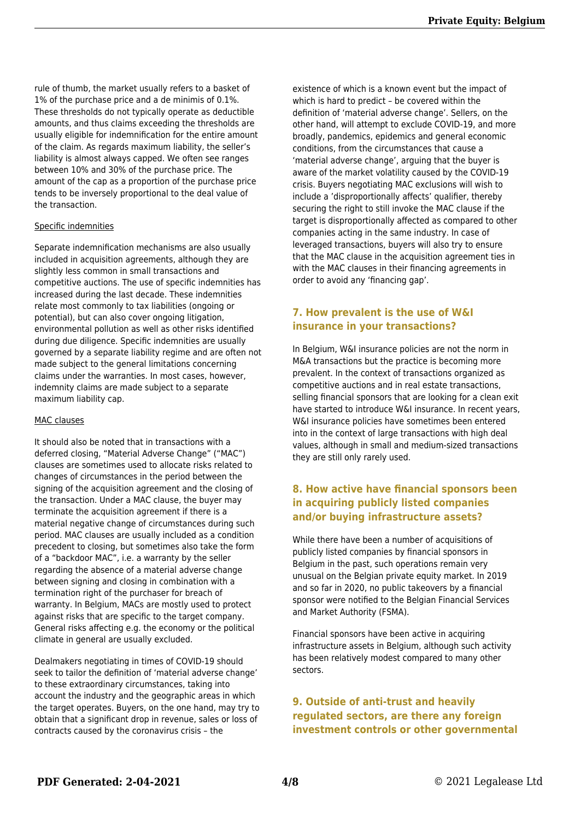rule of thumb, the market usually refers to a basket of 1% of the purchase price and a de minimis of 0.1%. These thresholds do not typically operate as deductible amounts, and thus claims exceeding the thresholds are usually eligible for indemnification for the entire amount of the claim. As regards maximum liability, the seller's liability is almost always capped. We often see ranges between 10% and 30% of the purchase price. The amount of the cap as a proportion of the purchase price tends to be inversely proportional to the deal value of the transaction.

#### Specific indemnities

Separate indemnification mechanisms are also usually included in acquisition agreements, although they are slightly less common in small transactions and competitive auctions. The use of specific indemnities has increased during the last decade. These indemnities relate most commonly to tax liabilities (ongoing or potential), but can also cover ongoing litigation, environmental pollution as well as other risks identified during due diligence. Specific indemnities are usually governed by a separate liability regime and are often not made subject to the general limitations concerning claims under the warranties. In most cases, however, indemnity claims are made subject to a separate maximum liability cap.

#### MAC clauses

It should also be noted that in transactions with a deferred closing, "Material Adverse Change" ("MAC") clauses are sometimes used to allocate risks related to changes of circumstances in the period between the signing of the acquisition agreement and the closing of the transaction. Under a MAC clause, the buyer may terminate the acquisition agreement if there is a material negative change of circumstances during such period. MAC clauses are usually included as a condition precedent to closing, but sometimes also take the form of a "backdoor MAC", i.e. a warranty by the seller regarding the absence of a material adverse change between signing and closing in combination with a termination right of the purchaser for breach of warranty. In Belgium, MACs are mostly used to protect against risks that are specific to the target company. General risks affecting e.g. the economy or the political climate in general are usually excluded.

Dealmakers negotiating in times of COVID-19 should seek to tailor the definition of 'material adverse change' to these extraordinary circumstances, taking into account the industry and the geographic areas in which the target operates. Buyers, on the one hand, may try to obtain that a significant drop in revenue, sales or loss of contracts caused by the coronavirus crisis – the

existence of which is a known event but the impact of which is hard to predict – be covered within the definition of 'material adverse change'. Sellers, on the other hand, will attempt to exclude COVID-19, and more broadly, pandemics, epidemics and general economic conditions, from the circumstances that cause a 'material adverse change', arguing that the buyer is aware of the market volatility caused by the COVID-19 crisis. Buyers negotiating MAC exclusions will wish to include a 'disproportionally affects' qualifier, thereby securing the right to still invoke the MAC clause if the target is disproportionally affected as compared to other companies acting in the same industry. In case of leveraged transactions, buyers will also try to ensure that the MAC clause in the acquisition agreement ties in with the MAC clauses in their financing agreements in order to avoid any 'financing gap'.

#### **7. How prevalent is the use of W&I insurance in your transactions?**

In Belgium, W&I insurance policies are not the norm in M&A transactions but the practice is becoming more prevalent. In the context of transactions organized as competitive auctions and in real estate transactions, selling financial sponsors that are looking for a clean exit have started to introduce W&I insurance. In recent years, W&I insurance policies have sometimes been entered into in the context of large transactions with high deal values, although in small and medium-sized transactions they are still only rarely used.

## **8. How active have financial sponsors been in acquiring publicly listed companies and/or buying infrastructure assets?**

While there have been a number of acquisitions of publicly listed companies by financial sponsors in Belgium in the past, such operations remain very unusual on the Belgian private equity market. In 2019 and so far in 2020, no public takeovers by a financial sponsor were notified to the Belgian Financial Services and Market Authority (FSMA).

Financial sponsors have been active in acquiring infrastructure assets in Belgium, although such activity has been relatively modest compared to many other sectors.

#### **9. Outside of anti-trust and heavily regulated sectors, are there any foreign investment controls or other governmental**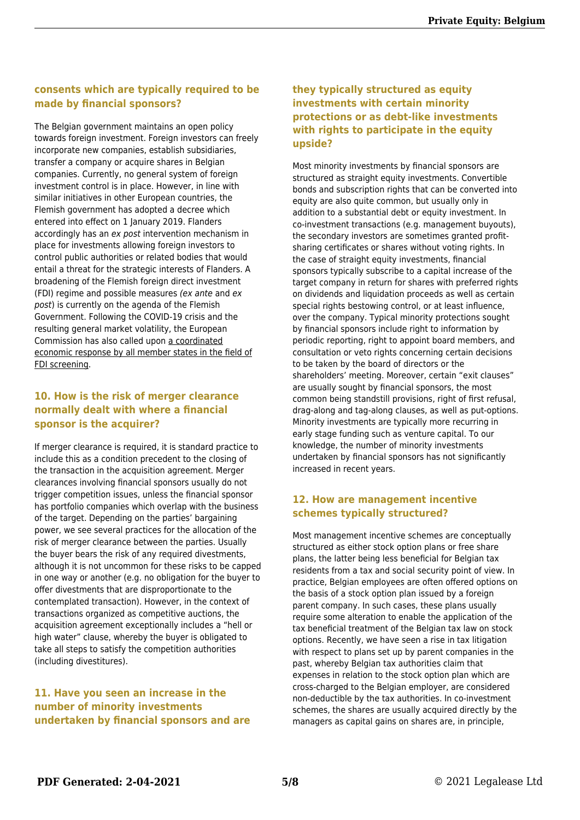## **consents which are typically required to be made by financial sponsors?**

The Belgian government maintains an open policy towards foreign investment. Foreign investors can freely incorporate new companies, establish subsidiaries, transfer a company or acquire shares in Belgian companies. Currently, no general system of foreign investment control is in place. However, in line with similar initiatives in other European countries, the Flemish government has adopted a decree which entered into effect on 1 January 2019. Flanders accordingly has an ex post intervention mechanism in place for investments allowing foreign investors to control public authorities or related bodies that would entail a threat for the strategic interests of Flanders. A broadening of the Flemish foreign direct investment (FDI) regime and possible measures (ex ante and ex post) is currently on the agenda of the Flemish Government. Following the COVID-19 crisis and the resulting general market volatility, the European Commission has also called upon [a coordinated](https://ec.europa.eu/commission/presscorner/detail/en/IP_20_528) [economic response by all member states in the field of](https://ec.europa.eu/commission/presscorner/detail/en/IP_20_528) [FDI screening.](https://ec.europa.eu/commission/presscorner/detail/en/IP_20_528)

## **10. How is the risk of merger clearance normally dealt with where a financial sponsor is the acquirer?**

If merger clearance is required, it is standard practice to include this as a condition precedent to the closing of the transaction in the acquisition agreement. Merger clearances involving financial sponsors usually do not trigger competition issues, unless the financial sponsor has portfolio companies which overlap with the business of the target. Depending on the parties' bargaining power, we see several practices for the allocation of the risk of merger clearance between the parties. Usually the buyer bears the risk of any required divestments, although it is not uncommon for these risks to be capped in one way or another (e.g. no obligation for the buyer to offer divestments that are disproportionate to the contemplated transaction). However, in the context of transactions organized as competitive auctions, the acquisition agreement exceptionally includes a "hell or high water" clause, whereby the buyer is obligated to take all steps to satisfy the competition authorities (including divestitures).

#### **11. Have you seen an increase in the number of minority investments undertaken by financial sponsors and are**

#### **they typically structured as equity investments with certain minority protections or as debt-like investments with rights to participate in the equity upside?**

Most minority investments by financial sponsors are structured as straight equity investments. Convertible bonds and subscription rights that can be converted into equity are also quite common, but usually only in addition to a substantial debt or equity investment. In co-investment transactions (e.g. management buyouts), the secondary investors are sometimes granted profitsharing certificates or shares without voting rights. In the case of straight equity investments, financial sponsors typically subscribe to a capital increase of the target company in return for shares with preferred rights on dividends and liquidation proceeds as well as certain special rights bestowing control, or at least influence, over the company. Typical minority protections sought by financial sponsors include right to information by periodic reporting, right to appoint board members, and consultation or veto rights concerning certain decisions to be taken by the board of directors or the shareholders' meeting. Moreover, certain "exit clauses" are usually sought by financial sponsors, the most common being standstill provisions, right of first refusal, drag-along and tag-along clauses, as well as put-options. Minority investments are typically more recurring in early stage funding such as venture capital. To our knowledge, the number of minority investments undertaken by financial sponsors has not significantly increased in recent years.

## **12. How are management incentive schemes typically structured?**

Most management incentive schemes are conceptually structured as either stock option plans or free share plans, the latter being less beneficial for Belgian tax residents from a tax and social security point of view. In practice, Belgian employees are often offered options on the basis of a stock option plan issued by a foreign parent company. In such cases, these plans usually require some alteration to enable the application of the tax beneficial treatment of the Belgian tax law on stock options. Recently, we have seen a rise in tax litigation with respect to plans set up by parent companies in the past, whereby Belgian tax authorities claim that expenses in relation to the stock option plan which are cross-charged to the Belgian employer, are considered non-deductible by the tax authorities. In co-investment schemes, the shares are usually acquired directly by the managers as capital gains on shares are, in principle,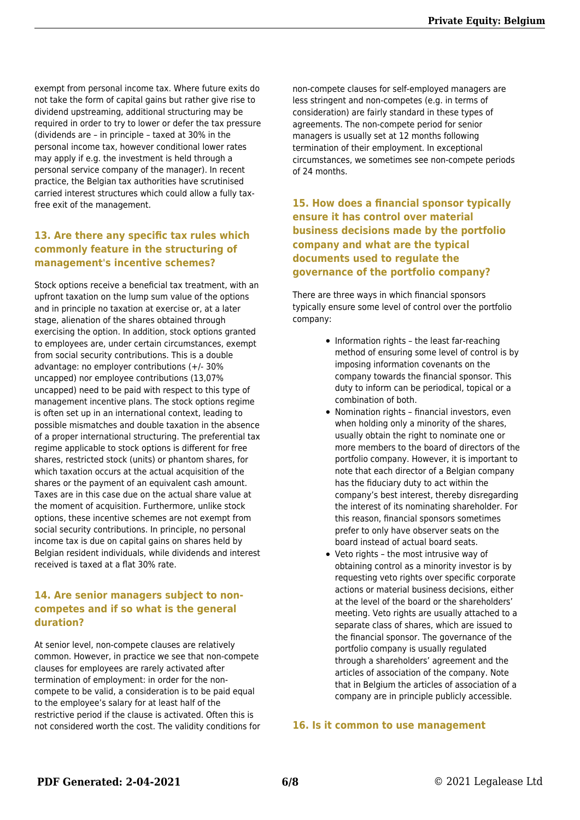exempt from personal income tax. Where future exits do not take the form of capital gains but rather give rise to dividend upstreaming, additional structuring may be required in order to try to lower or defer the tax pressure (dividends are – in principle – taxed at 30% in the personal income tax, however conditional lower rates may apply if e.g. the investment is held through a personal service company of the manager). In recent practice, the Belgian tax authorities have scrutinised carried interest structures which could allow a fully taxfree exit of the management.

#### **13. Are there any specific tax rules which commonly feature in the structuring of management's incentive schemes?**

Stock options receive a beneficial tax treatment, with an upfront taxation on the lump sum value of the options and in principle no taxation at exercise or, at a later stage, alienation of the shares obtained through exercising the option. In addition, stock options granted to employees are, under certain circumstances, exempt from social security contributions. This is a double advantage: no employer contributions (+/- 30% uncapped) nor employee contributions (13,07% uncapped) need to be paid with respect to this type of management incentive plans. The stock options regime is often set up in an international context, leading to possible mismatches and double taxation in the absence of a proper international structuring. The preferential tax regime applicable to stock options is different for free shares, restricted stock (units) or phantom shares, for which taxation occurs at the actual acquisition of the shares or the payment of an equivalent cash amount. Taxes are in this case due on the actual share value at the moment of acquisition. Furthermore, unlike stock options, these incentive schemes are not exempt from social security contributions. In principle, no personal income tax is due on capital gains on shares held by Belgian resident individuals, while dividends and interest received is taxed at a flat 30% rate.

#### **14. Are senior managers subject to noncompetes and if so what is the general duration?**

At senior level, non-compete clauses are relatively common. However, in practice we see that non-compete clauses for employees are rarely activated after termination of employment: in order for the noncompete to be valid, a consideration is to be paid equal to the employee's salary for at least half of the restrictive period if the clause is activated. Often this is not considered worth the cost. The validity conditions for

non-compete clauses for self-employed managers are less stringent and non-competes (e.g. in terms of consideration) are fairly standard in these types of agreements. The non-compete period for senior managers is usually set at 12 months following termination of their employment. In exceptional circumstances, we sometimes see non-compete periods of 24 months.

## **15. How does a financial sponsor typically ensure it has control over material business decisions made by the portfolio company and what are the typical documents used to regulate the governance of the portfolio company?**

There are three ways in which financial sponsors typically ensure some level of control over the portfolio company:

- $\bullet$  Information rights the least far-reaching method of ensuring some level of control is by imposing information covenants on the company towards the financial sponsor. This duty to inform can be periodical, topical or a combination of both.
- Nomination rights financial investors, even when holding only a minority of the shares, usually obtain the right to nominate one or more members to the board of directors of the portfolio company. However, it is important to note that each director of a Belgian company has the fiduciary duty to act within the company's best interest, thereby disregarding the interest of its nominating shareholder. For this reason, financial sponsors sometimes prefer to only have observer seats on the board instead of actual board seats.
- Veto rights the most intrusive way of obtaining control as a minority investor is by requesting veto rights over specific corporate actions or material business decisions, either at the level of the board or the shareholders' meeting. Veto rights are usually attached to a separate class of shares, which are issued to the financial sponsor. The governance of the portfolio company is usually regulated through a shareholders' agreement and the articles of association of the company. Note that in Belgium the articles of association of a company are in principle publicly accessible.

#### **16. Is it common to use management**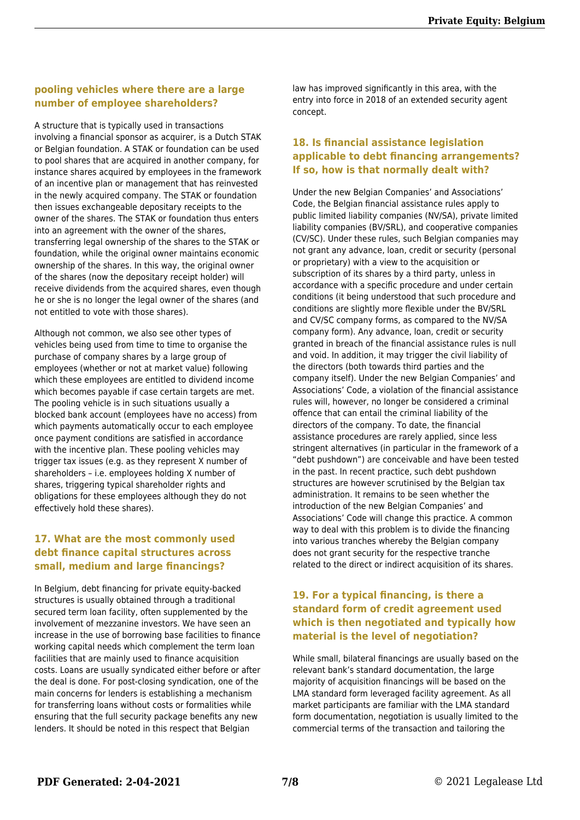#### **pooling vehicles where there are a large number of employee shareholders?**

A structure that is typically used in transactions involving a financial sponsor as acquirer, is a Dutch STAK or Belgian foundation. A STAK or foundation can be used to pool shares that are acquired in another company, for instance shares acquired by employees in the framework of an incentive plan or management that has reinvested in the newly acquired company. The STAK or foundation then issues exchangeable depositary receipts to the owner of the shares. The STAK or foundation thus enters into an agreement with the owner of the shares, transferring legal ownership of the shares to the STAK or foundation, while the original owner maintains economic ownership of the shares. In this way, the original owner of the shares (now the depositary receipt holder) will receive dividends from the acquired shares, even though he or she is no longer the legal owner of the shares (and not entitled to vote with those shares).

Although not common, we also see other types of vehicles being used from time to time to organise the purchase of company shares by a large group of employees (whether or not at market value) following which these employees are entitled to dividend income which becomes payable if case certain targets are met. The pooling vehicle is in such situations usually a blocked bank account (employees have no access) from which payments automatically occur to each employee once payment conditions are satisfied in accordance with the incentive plan. These pooling vehicles may trigger tax issues (e.g. as they represent X number of shareholders – i.e. employees holding X number of shares, triggering typical shareholder rights and obligations for these employees although they do not effectively hold these shares).

#### **17. What are the most commonly used debt finance capital structures across small, medium and large financings?**

In Belgium, debt financing for private equity-backed structures is usually obtained through a traditional secured term loan facility, often supplemented by the involvement of mezzanine investors. We have seen an increase in the use of borrowing base facilities to finance working capital needs which complement the term loan facilities that are mainly used to finance acquisition costs. Loans are usually syndicated either before or after the deal is done. For post-closing syndication, one of the main concerns for lenders is establishing a mechanism for transferring loans without costs or formalities while ensuring that the full security package benefits any new lenders. It should be noted in this respect that Belgian

law has improved significantly in this area, with the entry into force in 2018 of an extended security agent concept.

## **18. Is financial assistance legislation applicable to debt financing arrangements? If so, how is that normally dealt with?**

Under the new Belgian Companies' and Associations' Code, the Belgian financial assistance rules apply to public limited liability companies (NV/SA), private limited liability companies (BV/SRL), and cooperative companies (CV/SC). Under these rules, such Belgian companies may not grant any advance, loan, credit or security (personal or proprietary) with a view to the acquisition or subscription of its shares by a third party, unless in accordance with a specific procedure and under certain conditions (it being understood that such procedure and conditions are slightly more flexible under the BV/SRL and CV/SC company forms, as compared to the NV/SA company form). Any advance, loan, credit or security granted in breach of the financial assistance rules is null and void. In addition, it may trigger the civil liability of the directors (both towards third parties and the company itself). Under the new Belgian Companies' and Associations' Code, a violation of the financial assistance rules will, however, no longer be considered a criminal offence that can entail the criminal liability of the directors of the company. To date, the financial assistance procedures are rarely applied, since less stringent alternatives (in particular in the framework of a "debt pushdown") are conceivable and have been tested in the past. In recent practice, such debt pushdown structures are however scrutinised by the Belgian tax administration. It remains to be seen whether the introduction of the new Belgian Companies' and Associations' Code will change this practice. A common way to deal with this problem is to divide the financing into various tranches whereby the Belgian company does not grant security for the respective tranche related to the direct or indirect acquisition of its shares.

#### **19. For a typical financing, is there a standard form of credit agreement used which is then negotiated and typically how material is the level of negotiation?**

While small, bilateral financings are usually based on the relevant bank's standard documentation, the large majority of acquisition financings will be based on the LMA standard form leveraged facility agreement. As all market participants are familiar with the LMA standard form documentation, negotiation is usually limited to the commercial terms of the transaction and tailoring the